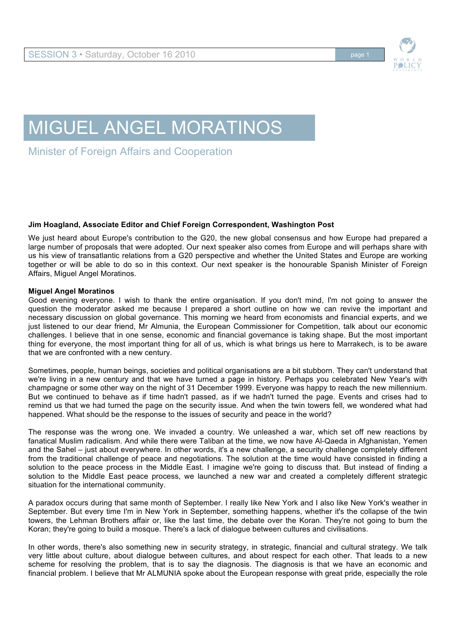

## MIGUEL ANGEL MORATINOS

Minister of Foreign Affairs and Cooperation

## **Jim Hoagland, Associate Editor and Chief Foreign Correspondent, Washington Post**

We just heard about Europe's contribution to the G20, the new global consensus and how Europe had prepared a large number of proposals that were adopted. Our next speaker also comes from Europe and will perhaps share with us his view of transatlantic relations from a G20 perspective and whether the United States and Europe are working together or will be able to do so in this context. Our next speaker is the honourable Spanish Minister of Foreign Affairs, Miguel Angel Moratinos.

## **Miguel Angel Moratinos**

Good evening everyone. I wish to thank the entire organisation. If you don't mind, I'm not going to answer the question the moderator asked me because I prepared a short outline on how we can revive the important and necessary discussion on global governance. This morning we heard from economists and financial experts, and we just listened to our dear friend, Mr Almunia, the European Commissioner for Competition, talk about our economic challenges. I believe that in one sense, economic and financial governance is taking shape. But the most important thing for everyone, the most important thing for all of us, which is what brings us here to Marrakech, is to be aware that we are confronted with a new century.

Sometimes, people, human beings, societies and political organisations are a bit stubborn. They can't understand that we're living in a new century and that we have turned a page in history. Perhaps you celebrated New Year's with champagne or some other way on the night of 31 December 1999. Everyone was happy to reach the new millennium. But we continued to behave as if time hadn't passed, as if we hadn't turned the page. Events and crises had to remind us that we had turned the page on the security issue. And when the twin towers fell, we wondered what had happened. What should be the response to the issues of security and peace in the world?

The response was the wrong one. We invaded a country. We unleashed a war, which set off new reactions by fanatical Muslim radicalism. And while there were Taliban at the time, we now have Al-Qaeda in Afghanistan, Yemen and the Sahel – just about everywhere. In other words, it's a new challenge, a security challenge completely different from the traditional challenge of peace and negotiations. The solution at the time would have consisted in finding a solution to the peace process in the Middle East. I imagine we're going to discuss that. But instead of finding a solution to the Middle East peace process, we launched a new war and created a completely different strategic situation for the international community.

A paradox occurs during that same month of September. I really like New York and I also like New York's weather in September. But every time I'm in New York in September, something happens, whether it's the collapse of the twin towers, the Lehman Brothers affair or, like the last time, the debate over the Koran. They're not going to burn the Koran; they're going to build a mosque. There's a lack of dialogue between cultures and civilisations.

In other words, there's also something new in security strategy, in strategic, financial and cultural strategy. We talk very little about culture, about dialogue between cultures, and about respect for each other. That leads to a new scheme for resolving the problem, that is to say the diagnosis. The diagnosis is that we have an economic and financial problem. I believe that Mr ALMUNIA spoke about the European response with great pride, especially the role